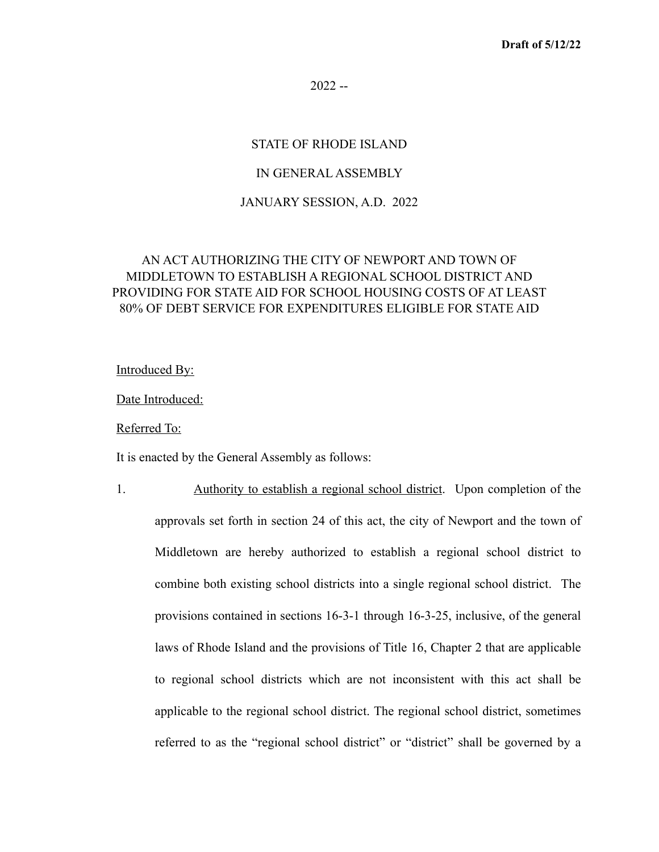2022 --

## STATE OF RHODE ISLAND

### IN GENERAL ASSEMBLY

#### JANUARY SESSION, A.D. 2022

# AN ACT AUTHORIZING THE CITY OF NEWPORT AND TOWN OF MIDDLETOWN TO ESTABLISH A REGIONAL SCHOOL DISTRICT AND PROVIDING FOR STATE AID FOR SCHOOL HOUSING COSTS OF AT LEAST 80% OF DEBT SERVICE FOR EXPENDITURES ELIGIBLE FOR STATE AID

Introduced By:

Date Introduced:

Referred To:

It is enacted by the General Assembly as follows:

1. Authority to establish a regional school district. Upon completion of the approvals set forth in section 24 of this act, the city of Newport and the town of Middletown are hereby authorized to establish a regional school district to combine both existing school districts into a single regional school district. The provisions contained in sections 16-3-1 through 16-3-25, inclusive, of the general laws of Rhode Island and the provisions of Title 16, Chapter 2 that are applicable to regional school districts which are not inconsistent with this act shall be applicable to the regional school district. The regional school district, sometimes referred to as the "regional school district" or "district" shall be governed by a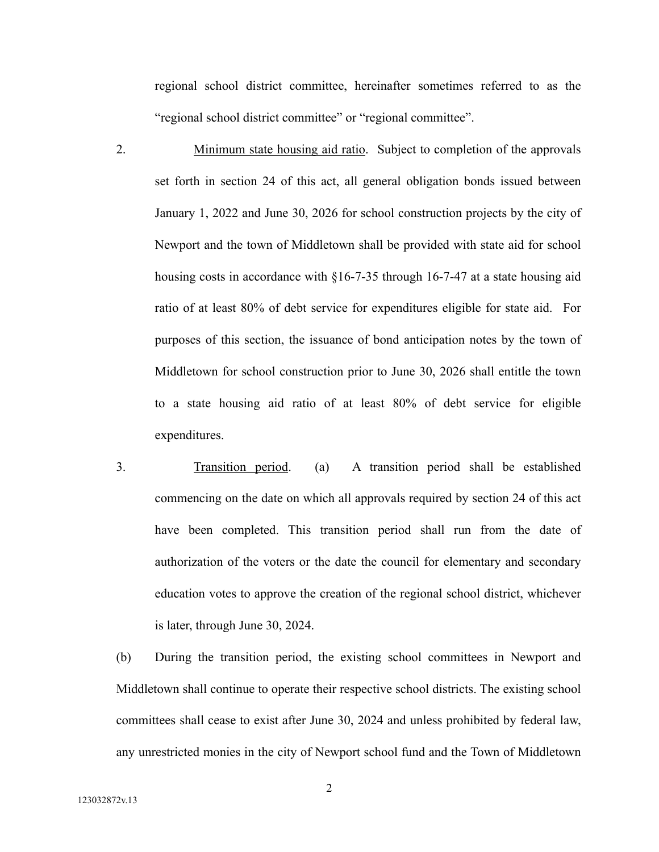regional school district committee, hereinafter sometimes referred to as the "regional school district committee" or "regional committee".

- 2. Minimum state housing aid ratio. Subject to completion of the approvals set forth in section 24 of this act, all general obligation bonds issued between January 1, 2022 and June 30, 2026 for school construction projects by the city of Newport and the town of Middletown shall be provided with state aid for school housing costs in accordance with §16-7-35 through 16-7-47 at a state housing aid ratio of at least 80% of debt service for expenditures eligible for state aid. For purposes of this section, the issuance of bond anticipation notes by the town of Middletown for school construction prior to June 30, 2026 shall entitle the town to a state housing aid ratio of at least 80% of debt service for eligible expenditures.
- 3. Transition period. (a) A transition period shall be established commencing on the date on which all approvals required by section 24 of this act have been completed. This transition period shall run from the date of authorization of the voters or the date the council for elementary and secondary education votes to approve the creation of the regional school district, whichever is later, through June 30, 2024.

(b) During the transition period, the existing school committees in Newport and Middletown shall continue to operate their respective school districts. The existing school committees shall cease to exist after June 30, 2024 and unless prohibited by federal law, any unrestricted monies in the city of Newport school fund and the Town of Middletown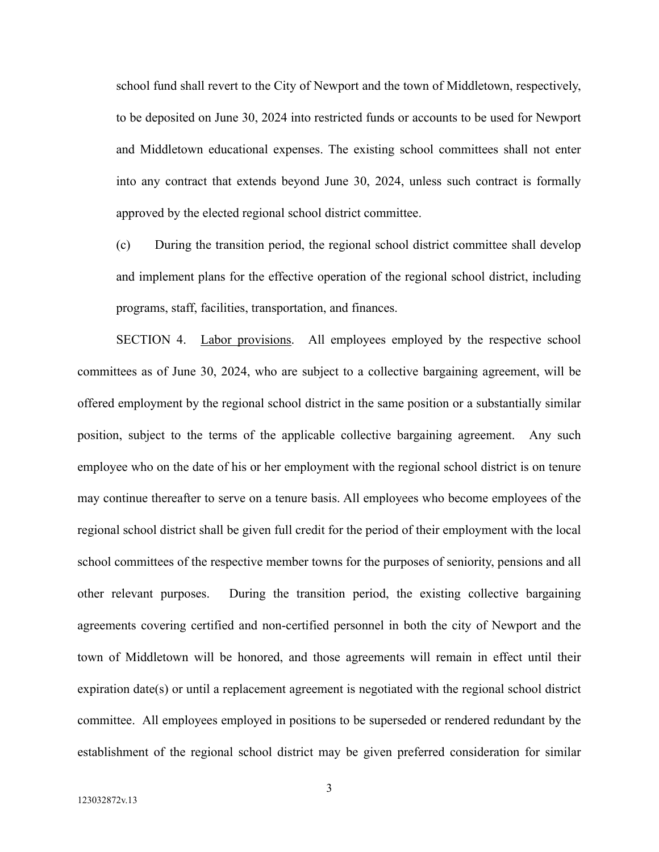school fund shall revert to the City of Newport and the town of Middletown, respectively, to be deposited on June 30, 2024 into restricted funds or accounts to be used for Newport and Middletown educational expenses. The existing school committees shall not enter into any contract that extends beyond June 30, 2024, unless such contract is formally approved by the elected regional school district committee.

(c) During the transition period, the regional school district committee shall develop and implement plans for the effective operation of the regional school district, including programs, staff, facilities, transportation, and finances.

SECTION 4. Labor provisions. All employees employed by the respective school committees as of June 30, 2024, who are subject to a collective bargaining agreement, will be offered employment by the regional school district in the same position or a substantially similar position, subject to the terms of the applicable collective bargaining agreement. Any such employee who on the date of his or her employment with the regional school district is on tenure may continue thereafter to serve on a tenure basis. All employees who become employees of the regional school district shall be given full credit for the period of their employment with the local school committees of the respective member towns for the purposes of seniority, pensions and all other relevant purposes. During the transition period, the existing collective bargaining agreements covering certified and non-certified personnel in both the city of Newport and the town of Middletown will be honored, and those agreements will remain in effect until their expiration date(s) or until a replacement agreement is negotiated with the regional school district committee. All employees employed in positions to be superseded or rendered redundant by the establishment of the regional school district may be given preferred consideration for similar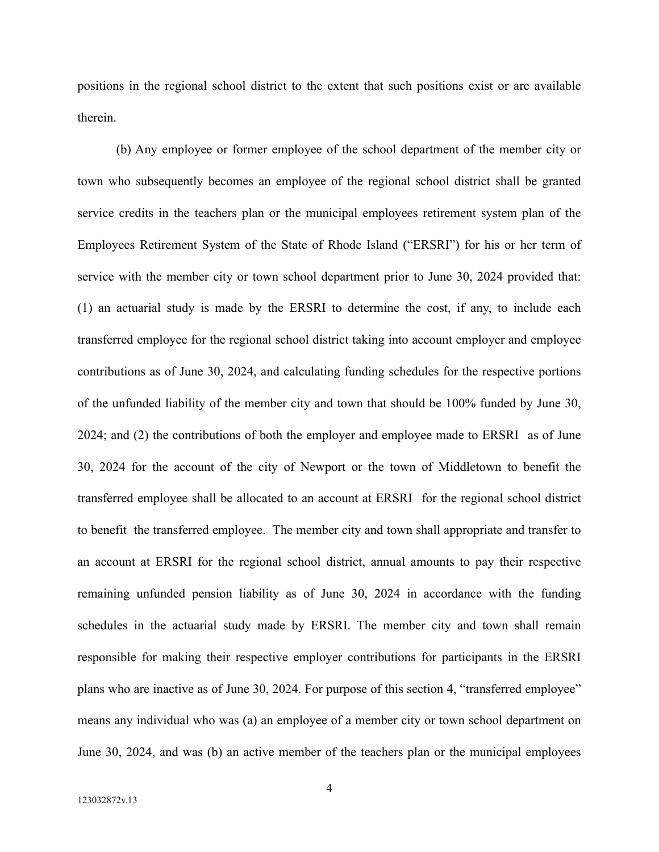positions in the regional school district to the extent that such positions exist or are available therein.

(b) Any employee or former employee of the school department of the member city or town who subsequently becomes an employee of the regional school district shall be granted service credits in the teachers plan or the municipal employees retirement system plan of the Employees Retirement System of the State of Rhode Island ("ERSRI") for his or her term of service with the member city or town school department prior to June 30, 2024 provided that: (1) an actuarial study is made by the ERSRI to determine the cost, if any, to include each transferred employee for the regional school district taking into account employer and employee contributions as of June 30, 2024, and calculating funding schedules for the respective portions of the unfunded liability of the member city and town that should be 100% funded by June 30, 2024; and (2) the contributions of both the employer and employee made to ERSRI as of June 30, 2024 for the account of the city of Newport or the town of Middletown to benefit the transferred employee shall be allocated to an account at ERSRI for the regional school district to benefit the transferred employee. The member city and town shall appropriate and transfer to an account at ERSRI for the regional school district, annual amounts to pay their respective remaining unfunded pension liability as of June 30, 2024 in accordance with the funding schedules in the actuarial study made by ERSRI. The member city and town shall remain responsible for making their respective employer contributions for participants in the ERSRI plans who are inactive as of June 30, 2024. For purpose of this section 4, "transferred employee" means any individual who was (a) an employee of a member city or town school department on June 30, 2024, and was (b) an active member of the teachers plan or the municipal employees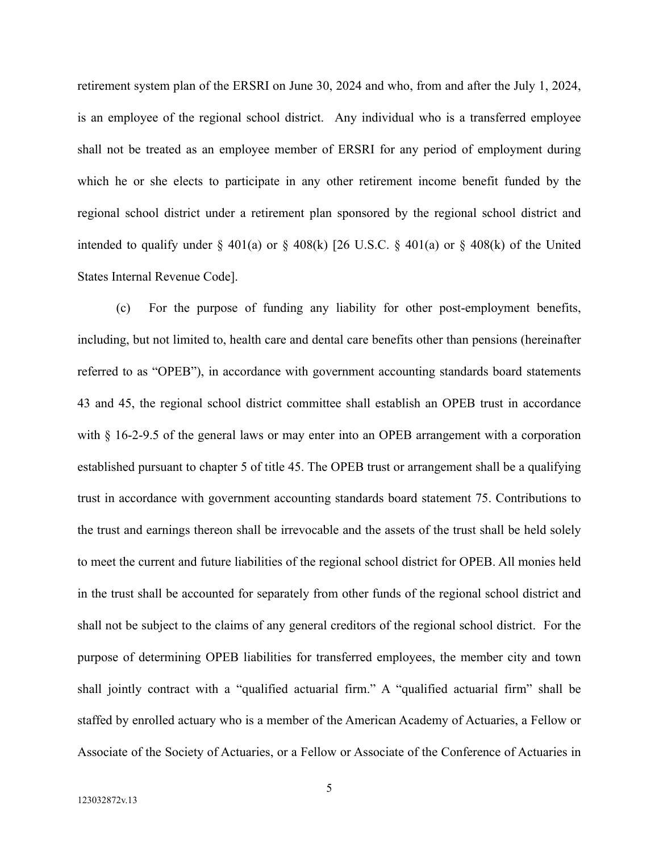retirement system plan of the ERSRI on June 30, 2024 and who, from and after the July 1, 2024, is an employee of the regional school district. Any individual who is a transferred employee shall not be treated as an employee member of ERSRI for any period of employment during which he or she elects to participate in any other retirement income benefit funded by the regional school district under a retirement plan sponsored by the regional school district and intended to qualify under  $\S$  401(a) or  $\S$  408(k) [26 U.S.C.  $\S$  401(a) or  $\S$  408(k) of the United States Internal Revenue Code].

(c) For the purpose of funding any liability for other post-employment benefits, including, but not limited to, health care and dental care benefits other than pensions (hereinafter referred to as "OPEB"), in accordance with government accounting standards board statements 43 and 45, the regional school district committee shall establish an OPEB trust in accordance with § 16-2-9.5 of the general laws or may enter into an OPEB arrangement with a corporation established pursuant to chapter 5 of title 45. The OPEB trust or arrangement shall be a qualifying trust in accordance with government accounting standards board statement 75. Contributions to the trust and earnings thereon shall be irrevocable and the assets of the trust shall be held solely to meet the current and future liabilities of the regional school district for OPEB. All monies held in the trust shall be accounted for separately from other funds of the regional school district and shall not be subject to the claims of any general creditors of the regional school district. For the purpose of determining OPEB liabilities for transferred employees, the member city and town shall jointly contract with a "qualified actuarial firm." A "qualified actuarial firm" shall be staffed by enrolled actuary who is a member of the American Academy of Actuaries, a Fellow or Associate of the Society of Actuaries, or a Fellow or Associate of the Conference of Actuaries in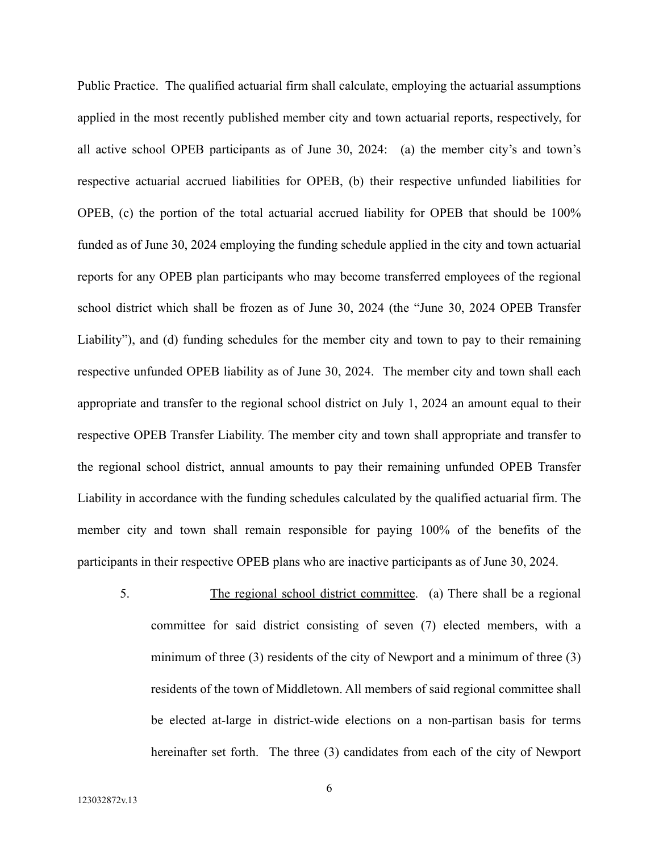Public Practice. The qualified actuarial firm shall calculate, employing the actuarial assumptions applied in the most recently published member city and town actuarial reports, respectively, for all active school OPEB participants as of June 30, 2024: (a) the member city's and town's respective actuarial accrued liabilities for OPEB, (b) their respective unfunded liabilities for OPEB, (c) the portion of the total actuarial accrued liability for OPEB that should be 100% funded as of June 30, 2024 employing the funding schedule applied in the city and town actuarial reports for any OPEB plan participants who may become transferred employees of the regional school district which shall be frozen as of June 30, 2024 (the "June 30, 2024 OPEB Transfer Liability"), and (d) funding schedules for the member city and town to pay to their remaining respective unfunded OPEB liability as of June 30, 2024. The member city and town shall each appropriate and transfer to the regional school district on July 1, 2024 an amount equal to their respective OPEB Transfer Liability. The member city and town shall appropriate and transfer to the regional school district, annual amounts to pay their remaining unfunded OPEB Transfer Liability in accordance with the funding schedules calculated by the qualified actuarial firm. The member city and town shall remain responsible for paying 100% of the benefits of the participants in their respective OPEB plans who are inactive participants as of June 30, 2024.

5. The regional school district committee. (a) There shall be a regional committee for said district consisting of seven (7) elected members, with a minimum of three (3) residents of the city of Newport and a minimum of three (3) residents of the town of Middletown. All members of said regional committee shall be elected at-large in district-wide elections on a non-partisan basis for terms hereinafter set forth. The three (3) candidates from each of the city of Newport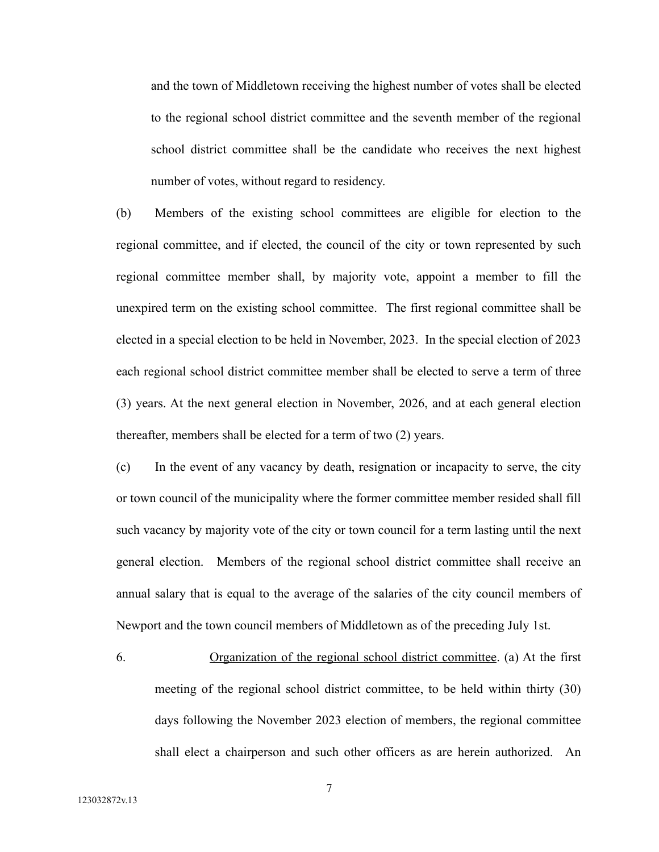and the town of Middletown receiving the highest number of votes shall be elected to the regional school district committee and the seventh member of the regional school district committee shall be the candidate who receives the next highest number of votes, without regard to residency.

(b) Members of the existing school committees are eligible for election to the regional committee, and if elected, the council of the city or town represented by such regional committee member shall, by majority vote, appoint a member to fill the unexpired term on the existing school committee. The first regional committee shall be elected in a special election to be held in November, 2023. In the special election of 2023 each regional school district committee member shall be elected to serve a term of three (3) years. At the next general election in November, 2026, and at each general election thereafter, members shall be elected for a term of two (2) years.

(c) In the event of any vacancy by death, resignation or incapacity to serve, the city or town council of the municipality where the former committee member resided shall fill such vacancy by majority vote of the city or town council for a term lasting until the next general election. Members of the regional school district committee shall receive an annual salary that is equal to the average of the salaries of the city council members of Newport and the town council members of Middletown as of the preceding July 1st.

6. Organization of the regional school district committee. (a) At the first meeting of the regional school district committee, to be held within thirty (30) days following the November 2023 election of members, the regional committee shall elect a chairperson and such other officers as are herein authorized. An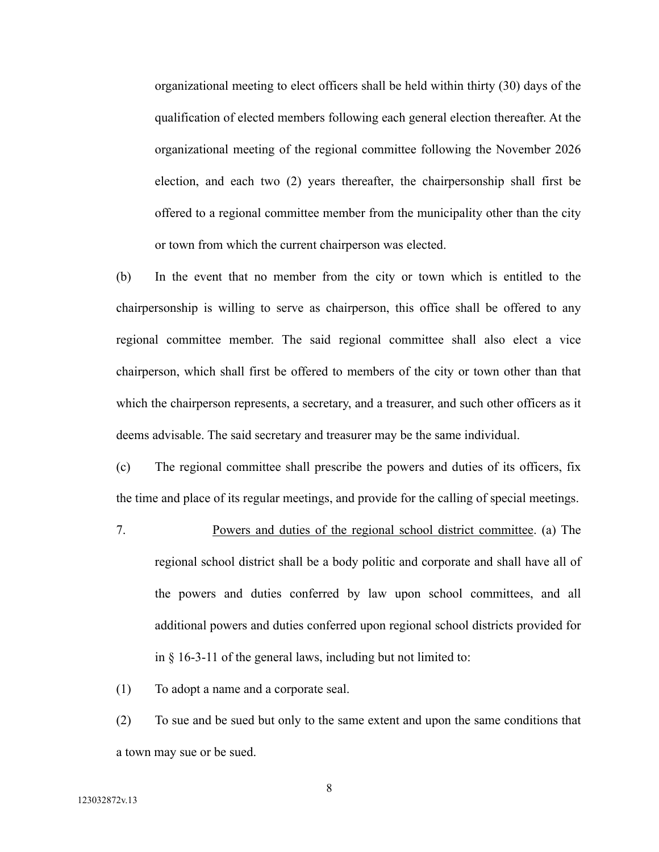organizational meeting to elect officers shall be held within thirty (30) days of the qualification of elected members following each general election thereafter. At the organizational meeting of the regional committee following the November 2026 election, and each two (2) years thereafter, the chairpersonship shall first be offered to a regional committee member from the municipality other than the city or town from which the current chairperson was elected.

(b) In the event that no member from the city or town which is entitled to the chairpersonship is willing to serve as chairperson, this office shall be offered to any regional committee member. The said regional committee shall also elect a vice chairperson, which shall first be offered to members of the city or town other than that which the chairperson represents, a secretary, and a treasurer, and such other officers as it deems advisable. The said secretary and treasurer may be the same individual.

(c) The regional committee shall prescribe the powers and duties of its officers, fix the time and place of its regular meetings, and provide for the calling of special meetings.

7. Powers and duties of the regional school district committee. (a) The regional school district shall be a body politic and corporate and shall have all of the powers and duties conferred by law upon school committees, and all additional powers and duties conferred upon regional school districts provided for in § 16-3-11 of the general laws, including but not limited to:

(1) To adopt a name and a corporate seal.

(2) To sue and be sued but only to the same extent and upon the same conditions that a town may sue or be sued.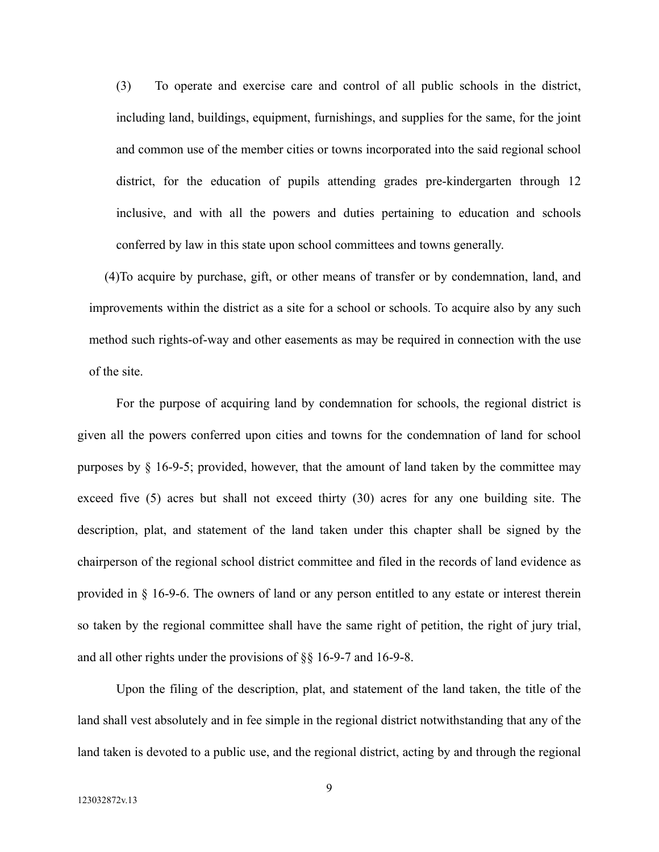(3) To operate and exercise care and control of all public schools in the district, including land, buildings, equipment, furnishings, and supplies for the same, for the joint and common use of the member cities or towns incorporated into the said regional school district, for the education of pupils attending grades pre-kindergarten through 12 inclusive, and with all the powers and duties pertaining to education and schools conferred by law in this state upon school committees and towns generally.

(4)To acquire by purchase, gift, or other means of transfer or by condemnation, land, and improvements within the district as a site for a school or schools. To acquire also by any such method such rights-of-way and other easements as may be required in connection with the use of the site.

For the purpose of acquiring land by condemnation for schools, the regional district is given all the powers conferred upon cities and towns for the condemnation of land for school purposes by § 16-9-5; provided, however, that the amount of land taken by the committee may exceed five (5) acres but shall not exceed thirty (30) acres for any one building site. The description, plat, and statement of the land taken under this chapter shall be signed by the chairperson of the regional school district committee and filed in the records of land evidence as provided in § 16-9-6. The owners of land or any person entitled to any estate or interest therein so taken by the regional committee shall have the same right of petition, the right of jury trial, and all other rights under the provisions of §§ 16-9-7 and 16-9-8.

Upon the filing of the description, plat, and statement of the land taken, the title of the land shall vest absolutely and in fee simple in the regional district notwithstanding that any of the land taken is devoted to a public use, and the regional district, acting by and through the regional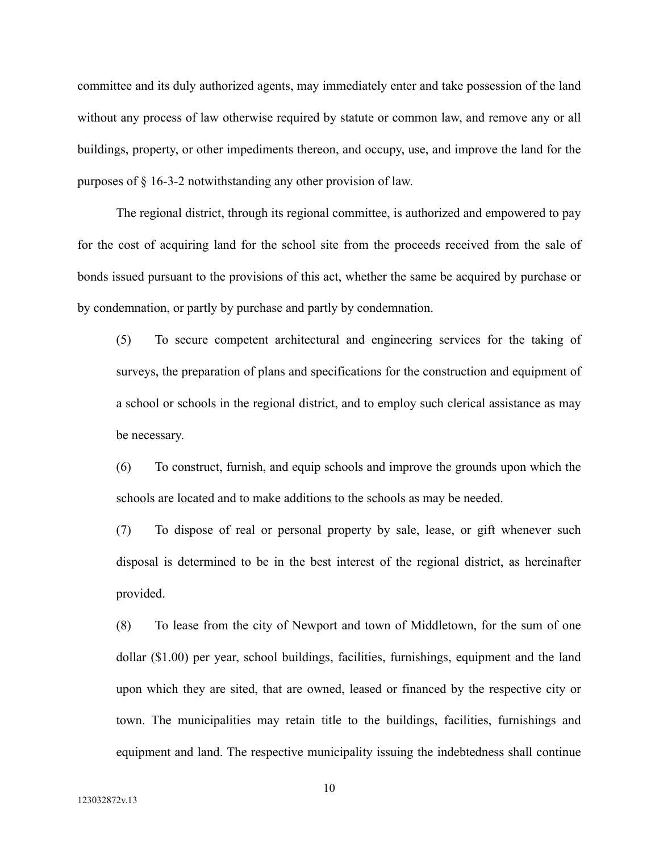committee and its duly authorized agents, may immediately enter and take possession of the land without any process of law otherwise required by statute or common law, and remove any or all buildings, property, or other impediments thereon, and occupy, use, and improve the land for the purposes of § 16-3-2 notwithstanding any other provision of law.

The regional district, through its regional committee, is authorized and empowered to pay for the cost of acquiring land for the school site from the proceeds received from the sale of bonds issued pursuant to the provisions of this act, whether the same be acquired by purchase or by condemnation, or partly by purchase and partly by condemnation.

(5) To secure competent architectural and engineering services for the taking of surveys, the preparation of plans and specifications for the construction and equipment of a school or schools in the regional district, and to employ such clerical assistance as may be necessary.

(6) To construct, furnish, and equip schools and improve the grounds upon which the schools are located and to make additions to the schools as may be needed.

(7) To dispose of real or personal property by sale, lease, or gift whenever such disposal is determined to be in the best interest of the regional district, as hereinafter provided.

(8) To lease from the city of Newport and town of Middletown, for the sum of one dollar (\$1.00) per year, school buildings, facilities, furnishings, equipment and the land upon which they are sited, that are owned, leased or financed by the respective city or town. The municipalities may retain title to the buildings, facilities, furnishings and equipment and land. The respective municipality issuing the indebtedness shall continue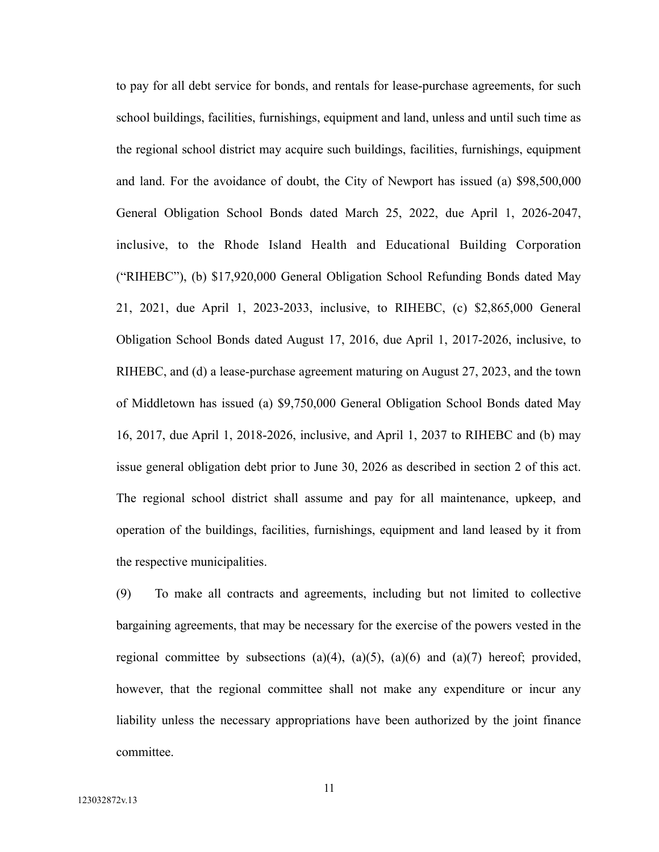to pay for all debt service for bonds, and rentals for lease-purchase agreements, for such school buildings, facilities, furnishings, equipment and land, unless and until such time as the regional school district may acquire such buildings, facilities, furnishings, equipment and land. For the avoidance of doubt, the City of Newport has issued (a) \$98,500,000 General Obligation School Bonds dated March 25, 2022, due April 1, 2026-2047, inclusive, to the Rhode Island Health and Educational Building Corporation ("RIHEBC"), (b) \$17,920,000 General Obligation School Refunding Bonds dated May 21, 2021, due April 1, 2023-2033, inclusive, to RIHEBC, (c) \$2,865,000 General Obligation School Bonds dated August 17, 2016, due April 1, 2017-2026, inclusive, to RIHEBC, and (d) a lease-purchase agreement maturing on August 27, 2023, and the town of Middletown has issued (a) \$9,750,000 General Obligation School Bonds dated May 16, 2017, due April 1, 2018-2026, inclusive, and April 1, 2037 to RIHEBC and (b) may issue general obligation debt prior to June 30, 2026 as described in section 2 of this act. The regional school district shall assume and pay for all maintenance, upkeep, and operation of the buildings, facilities, furnishings, equipment and land leased by it from the respective municipalities.

(9) To make all contracts and agreements, including but not limited to collective bargaining agreements, that may be necessary for the exercise of the powers vested in the regional committee by subsections (a)(4), (a)(5), (a)(6) and (a)(7) hereof; provided, however, that the regional committee shall not make any expenditure or incur any liability unless the necessary appropriations have been authorized by the joint finance committee.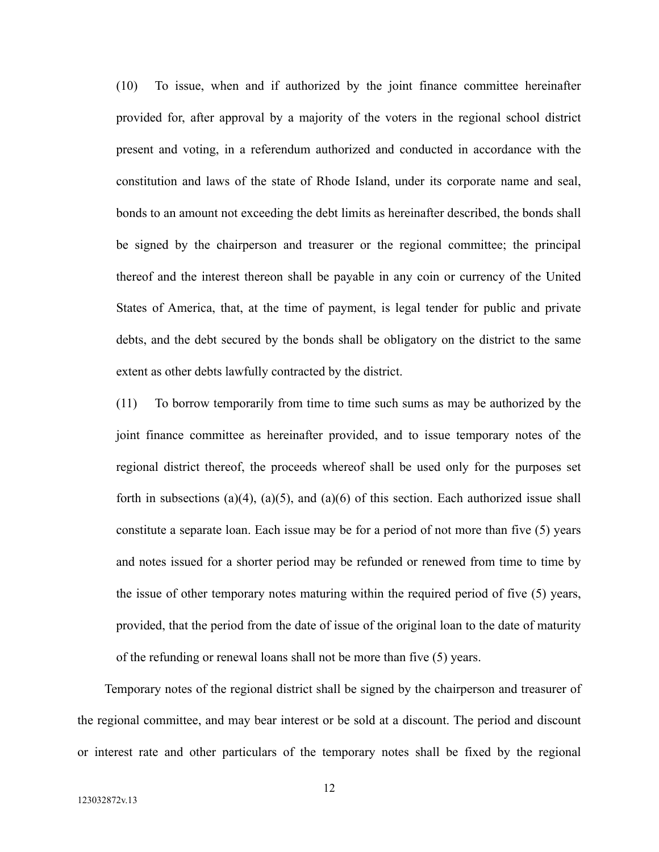(10) To issue, when and if authorized by the joint finance committee hereinafter provided for, after approval by a majority of the voters in the regional school district present and voting, in a referendum authorized and conducted in accordance with the constitution and laws of the state of Rhode Island, under its corporate name and seal, bonds to an amount not exceeding the debt limits as hereinafter described, the bonds shall be signed by the chairperson and treasurer or the regional committee; the principal thereof and the interest thereon shall be payable in any coin or currency of the United States of America, that, at the time of payment, is legal tender for public and private debts, and the debt secured by the bonds shall be obligatory on the district to the same extent as other debts lawfully contracted by the district.

(11) To borrow temporarily from time to time such sums as may be authorized by the joint finance committee as hereinafter provided, and to issue temporary notes of the regional district thereof, the proceeds whereof shall be used only for the purposes set forth in subsections (a)(4), (a)(5), and (a)(6) of this section. Each authorized issue shall constitute a separate loan. Each issue may be for a period of not more than five (5) years and notes issued for a shorter period may be refunded or renewed from time to time by the issue of other temporary notes maturing within the required period of five (5) years, provided, that the period from the date of issue of the original loan to the date of maturity of the refunding or renewal loans shall not be more than five (5) years.

Temporary notes of the regional district shall be signed by the chairperson and treasurer of the regional committee, and may bear interest or be sold at a discount. The period and discount or interest rate and other particulars of the temporary notes shall be fixed by the regional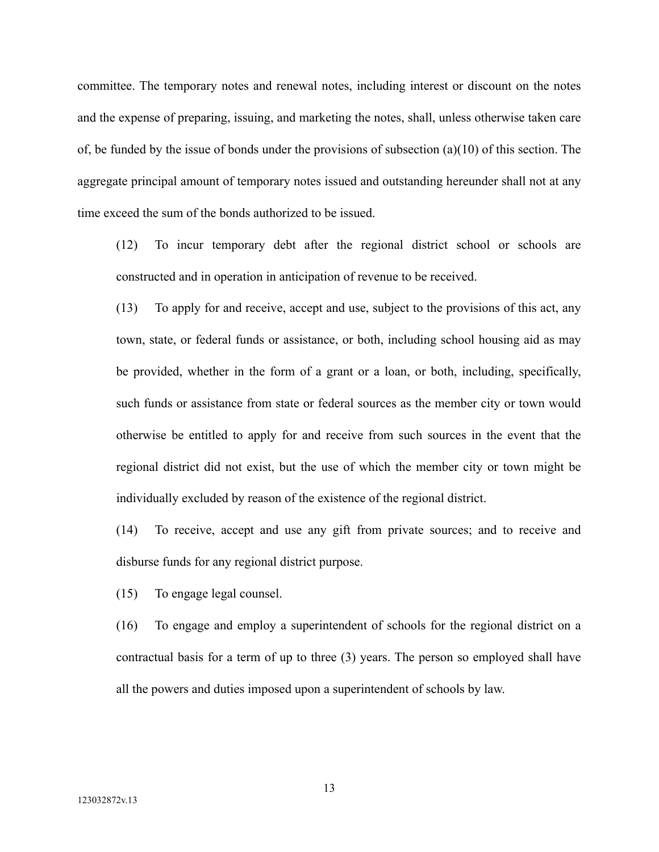committee. The temporary notes and renewal notes, including interest or discount on the notes and the expense of preparing, issuing, and marketing the notes, shall, unless otherwise taken care of, be funded by the issue of bonds under the provisions of subsection  $(a)(10)$  of this section. The aggregate principal amount of temporary notes issued and outstanding hereunder shall not at any time exceed the sum of the bonds authorized to be issued.

(12) To incur temporary debt after the regional district school or schools are constructed and in operation in anticipation of revenue to be received.

(13) To apply for and receive, accept and use, subject to the provisions of this act, any town, state, or federal funds or assistance, or both, including school housing aid as may be provided, whether in the form of a grant or a loan, or both, including, specifically, such funds or assistance from state or federal sources as the member city or town would otherwise be entitled to apply for and receive from such sources in the event that the regional district did not exist, but the use of which the member city or town might be individually excluded by reason of the existence of the regional district.

(14) To receive, accept and use any gift from private sources; and to receive and disburse funds for any regional district purpose.

(15) To engage legal counsel.

(16) To engage and employ a superintendent of schools for the regional district on a contractual basis for a term of up to three (3) years. The person so employed shall have all the powers and duties imposed upon a superintendent of schools by law.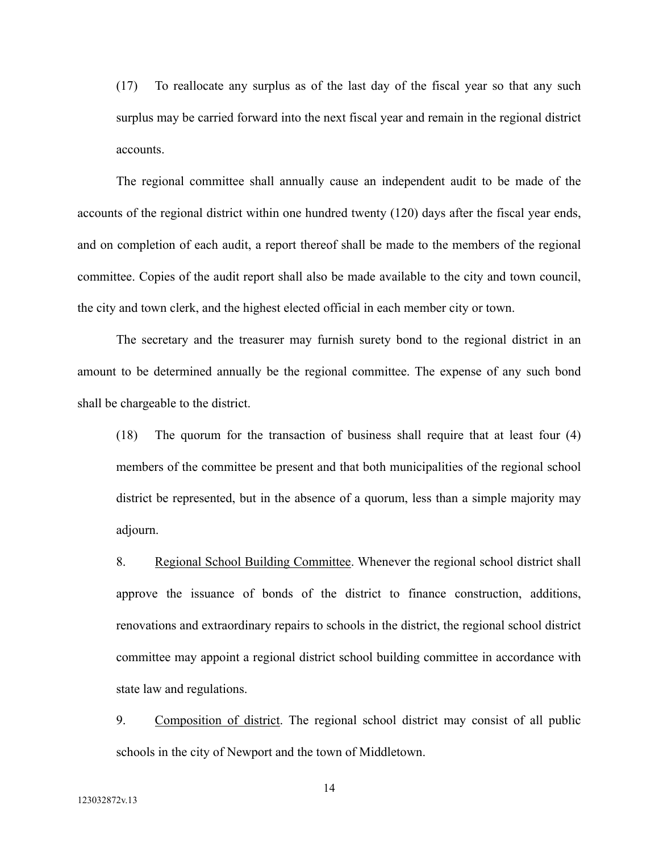(17) To reallocate any surplus as of the last day of the fiscal year so that any such surplus may be carried forward into the next fiscal year and remain in the regional district accounts.

The regional committee shall annually cause an independent audit to be made of the accounts of the regional district within one hundred twenty (120) days after the fiscal year ends, and on completion of each audit, a report thereof shall be made to the members of the regional committee. Copies of the audit report shall also be made available to the city and town council, the city and town clerk, and the highest elected official in each member city or town.

The secretary and the treasurer may furnish surety bond to the regional district in an amount to be determined annually be the regional committee. The expense of any such bond shall be chargeable to the district.

(18) The quorum for the transaction of business shall require that at least four (4) members of the committee be present and that both municipalities of the regional school district be represented, but in the absence of a quorum, less than a simple majority may adjourn.

8. Regional School Building Committee. Whenever the regional school district shall approve the issuance of bonds of the district to finance construction, additions, renovations and extraordinary repairs to schools in the district, the regional school district committee may appoint a regional district school building committee in accordance with state law and regulations.

9. Composition of district. The regional school district may consist of all public schools in the city of Newport and the town of Middletown.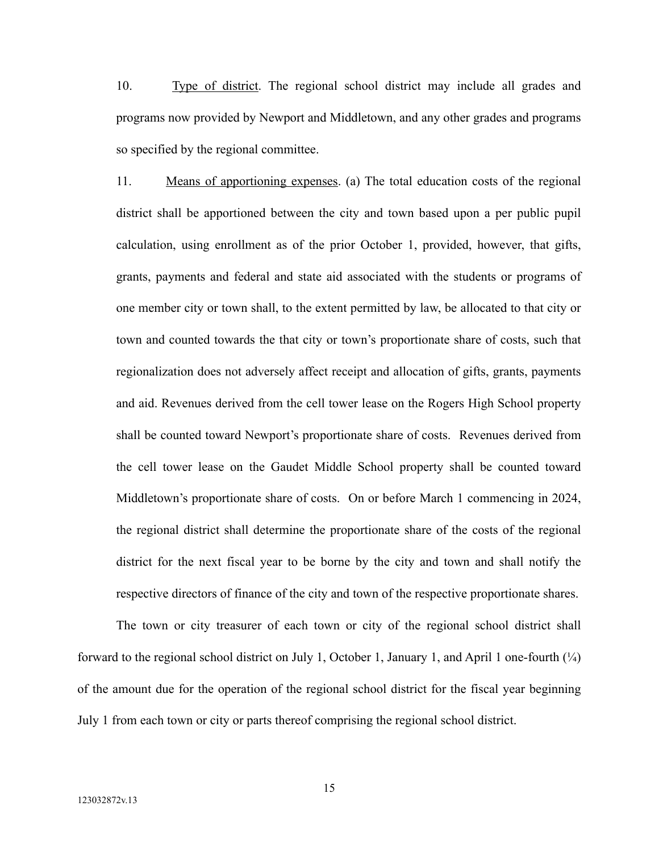10. Type of district. The regional school district may include all grades and programs now provided by Newport and Middletown, and any other grades and programs so specified by the regional committee.

11. Means of apportioning expenses. (a) The total education costs of the regional district shall be apportioned between the city and town based upon a per public pupil calculation, using enrollment as of the prior October 1, provided, however, that gifts, grants, payments and federal and state aid associated with the students or programs of one member city or town shall, to the extent permitted by law, be allocated to that city or town and counted towards the that city or town's proportionate share of costs, such that regionalization does not adversely affect receipt and allocation of gifts, grants, payments and aid. Revenues derived from the cell tower lease on the Rogers High School property shall be counted toward Newport's proportionate share of costs. Revenues derived from the cell tower lease on the Gaudet Middle School property shall be counted toward Middletown's proportionate share of costs. On or before March 1 commencing in 2024, the regional district shall determine the proportionate share of the costs of the regional district for the next fiscal year to be borne by the city and town and shall notify the respective directors of finance of the city and town of the respective proportionate shares.

The town or city treasurer of each town or city of the regional school district shall forward to the regional school district on July 1, October 1, January 1, and April 1 one-fourth  $\binom{1}{4}$ of the amount due for the operation of the regional school district for the fiscal year beginning July 1 from each town or city or parts thereof comprising the regional school district.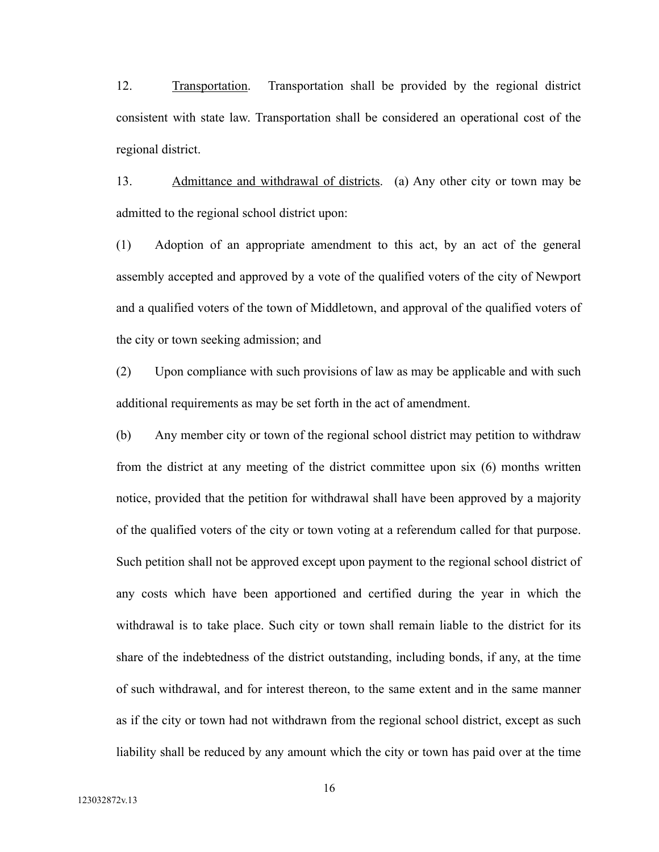12. Transportation. Transportation shall be provided by the regional district consistent with state law. Transportation shall be considered an operational cost of the regional district.

13. Admittance and withdrawal of districts. (a) Any other city or town may be admitted to the regional school district upon:

(1) Adoption of an appropriate amendment to this act, by an act of the general assembly accepted and approved by a vote of the qualified voters of the city of Newport and a qualified voters of the town of Middletown, and approval of the qualified voters of the city or town seeking admission; and

(2) Upon compliance with such provisions of law as may be applicable and with such additional requirements as may be set forth in the act of amendment.

(b) Any member city or town of the regional school district may petition to withdraw from the district at any meeting of the district committee upon six (6) months written notice, provided that the petition for withdrawal shall have been approved by a majority of the qualified voters of the city or town voting at a referendum called for that purpose. Such petition shall not be approved except upon payment to the regional school district of any costs which have been apportioned and certified during the year in which the withdrawal is to take place. Such city or town shall remain liable to the district for its share of the indebtedness of the district outstanding, including bonds, if any, at the time of such withdrawal, and for interest thereon, to the same extent and in the same manner as if the city or town had not withdrawn from the regional school district, except as such liability shall be reduced by any amount which the city or town has paid over at the time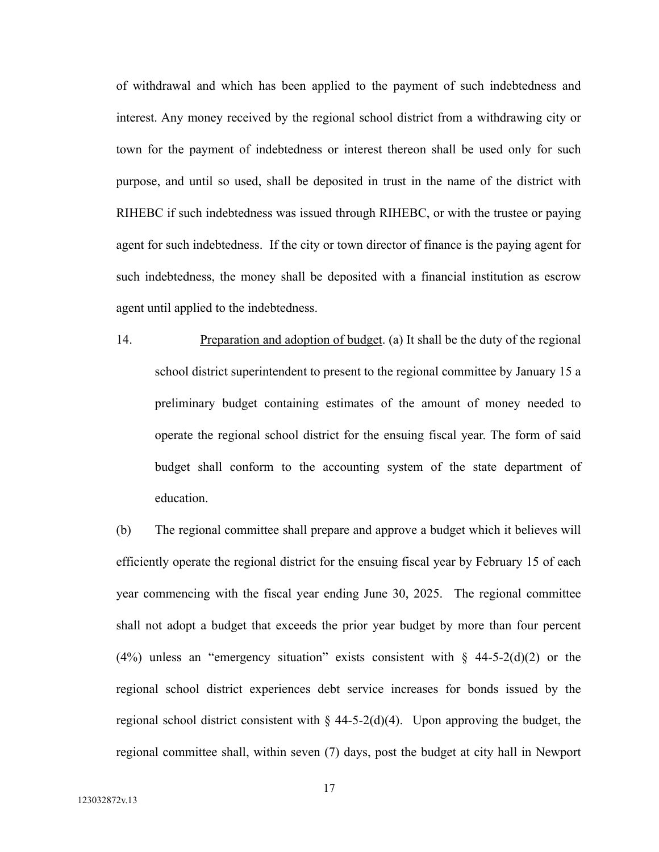of withdrawal and which has been applied to the payment of such indebtedness and interest. Any money received by the regional school district from a withdrawing city or town for the payment of indebtedness or interest thereon shall be used only for such purpose, and until so used, shall be deposited in trust in the name of the district with RIHEBC if such indebtedness was issued through RIHEBC, or with the trustee or paying agent for such indebtedness. If the city or town director of finance is the paying agent for such indebtedness, the money shall be deposited with a financial institution as escrow agent until applied to the indebtedness.

14. Preparation and adoption of budget. (a) It shall be the duty of the regional school district superintendent to present to the regional committee by January 15 a preliminary budget containing estimates of the amount of money needed to operate the regional school district for the ensuing fiscal year. The form of said budget shall conform to the accounting system of the state department of education.

(b) The regional committee shall prepare and approve a budget which it believes will efficiently operate the regional district for the ensuing fiscal year by February 15 of each year commencing with the fiscal year ending June 30, 2025. The regional committee shall not adopt a budget that exceeds the prior year budget by more than four percent (4%) unless an "emergency situation" exists consistent with  $\S$  44-5-2(d)(2) or the regional school district experiences debt service increases for bonds issued by the regional school district consistent with  $\S$  44-5-2(d)(4). Upon approving the budget, the regional committee shall, within seven (7) days, post the budget at city hall in Newport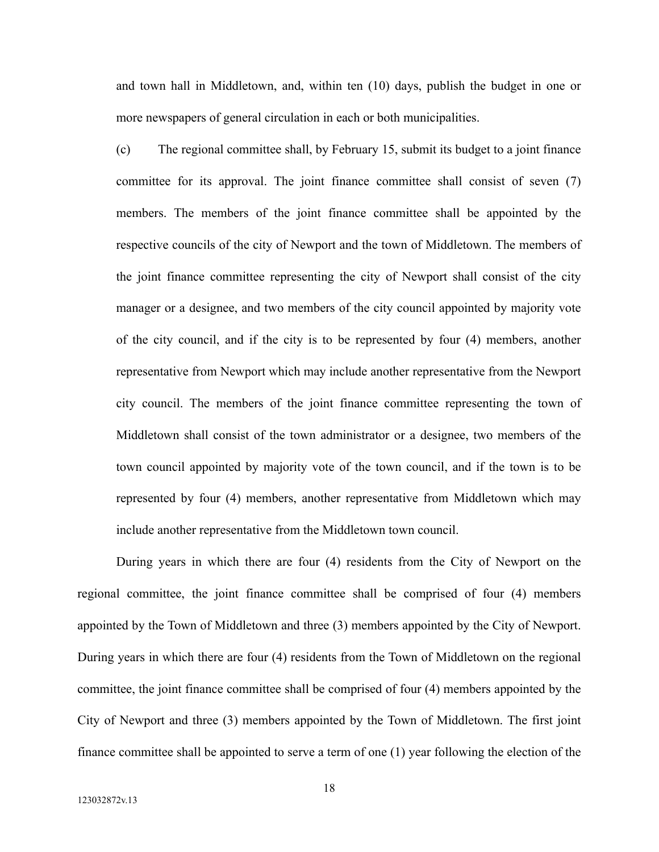and town hall in Middletown, and, within ten (10) days, publish the budget in one or more newspapers of general circulation in each or both municipalities.

(c) The regional committee shall, by February 15, submit its budget to a joint finance committee for its approval. The joint finance committee shall consist of seven (7) members. The members of the joint finance committee shall be appointed by the respective councils of the city of Newport and the town of Middletown. The members of the joint finance committee representing the city of Newport shall consist of the city manager or a designee, and two members of the city council appointed by majority vote of the city council, and if the city is to be represented by four (4) members, another representative from Newport which may include another representative from the Newport city council. The members of the joint finance committee representing the town of Middletown shall consist of the town administrator or a designee, two members of the town council appointed by majority vote of the town council, and if the town is to be represented by four (4) members, another representative from Middletown which may include another representative from the Middletown town council.

During years in which there are four (4) residents from the City of Newport on the regional committee, the joint finance committee shall be comprised of four (4) members appointed by the Town of Middletown and three (3) members appointed by the City of Newport. During years in which there are four (4) residents from the Town of Middletown on the regional committee, the joint finance committee shall be comprised of four (4) members appointed by the City of Newport and three (3) members appointed by the Town of Middletown. The first joint finance committee shall be appointed to serve a term of one (1) year following the election of the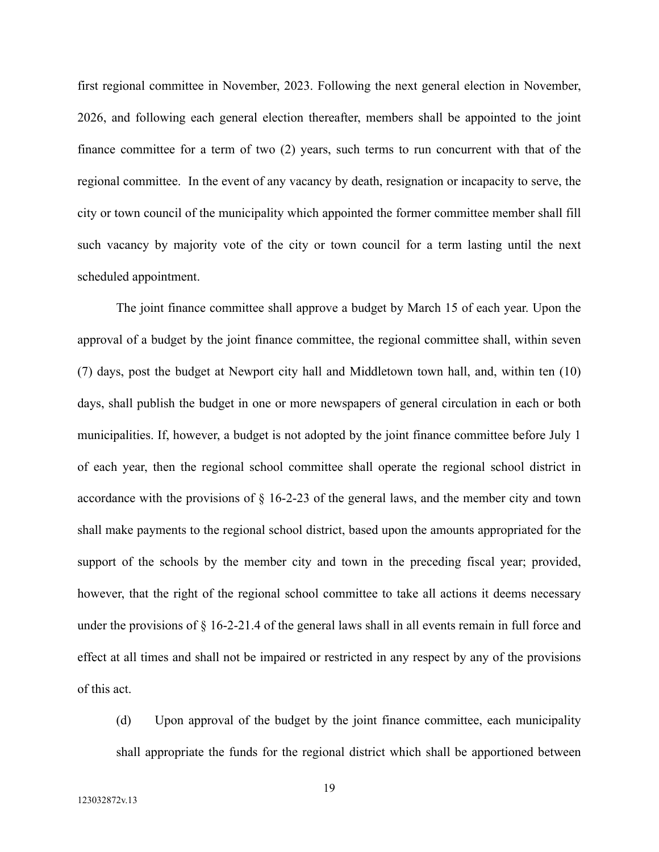first regional committee in November, 2023. Following the next general election in November, 2026, and following each general election thereafter, members shall be appointed to the joint finance committee for a term of two (2) years, such terms to run concurrent with that of the regional committee. In the event of any vacancy by death, resignation or incapacity to serve, the city or town council of the municipality which appointed the former committee member shall fill such vacancy by majority vote of the city or town council for a term lasting until the next scheduled appointment.

The joint finance committee shall approve a budget by March 15 of each year. Upon the approval of a budget by the joint finance committee, the regional committee shall, within seven (7) days, post the budget at Newport city hall and Middletown town hall, and, within ten (10) days, shall publish the budget in one or more newspapers of general circulation in each or both municipalities. If, however, a budget is not adopted by the joint finance committee before July 1 of each year, then the regional school committee shall operate the regional school district in accordance with the provisions of § 16-2-23 of the general laws, and the member city and town shall make payments to the regional school district, based upon the amounts appropriated for the support of the schools by the member city and town in the preceding fiscal year; provided, however, that the right of the regional school committee to take all actions it deems necessary under the provisions of § 16-2-21.4 of the general laws shall in all events remain in full force and effect at all times and shall not be impaired or restricted in any respect by any of the provisions of this act.

(d) Upon approval of the budget by the joint finance committee, each municipality shall appropriate the funds for the regional district which shall be apportioned between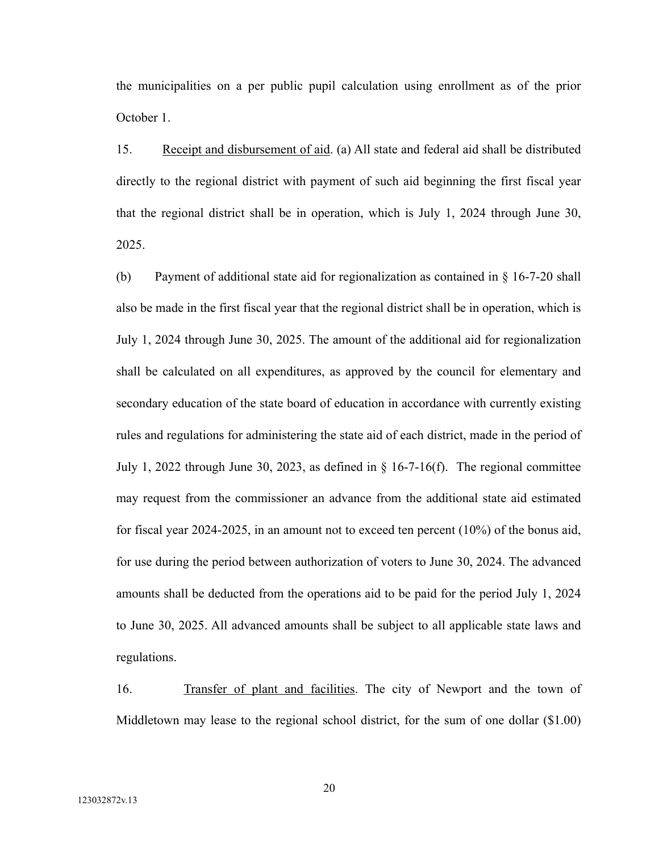the municipalities on a per public pupil calculation using enrollment as of the prior October 1.

15. Receipt and disbursement of aid. (a) All state and federal aid shall be distributed directly to the regional district with payment of such aid beginning the first fiscal year that the regional district shall be in operation, which is July 1, 2024 through June 30, 2025.

(b) Payment of additional state aid for regionalization as contained in § 16-7-20 shall also be made in the first fiscal year that the regional district shall be in operation, which is July 1, 2024 through June 30, 2025. The amount of the additional aid for regionalization shall be calculated on all expenditures, as approved by the council for elementary and secondary education of the state board of education in accordance with currently existing rules and regulations for administering the state aid of each district, made in the period of July 1, 2022 through June 30, 2023, as defined in  $\S$  16-7-16(f). The regional committee may request from the commissioner an advance from the additional state aid estimated for fiscal year 2024-2025, in an amount not to exceed ten percent (10%) of the bonus aid, for use during the period between authorization of voters to June 30, 2024. The advanced amounts shall be deducted from the operations aid to be paid for the period July 1, 2024 to June 30, 2025. All advanced amounts shall be subject to all applicable state laws and regulations.

16. Transfer of plant and facilities. The city of Newport and the town of Middletown may lease to the regional school district, for the sum of one dollar (\$1.00)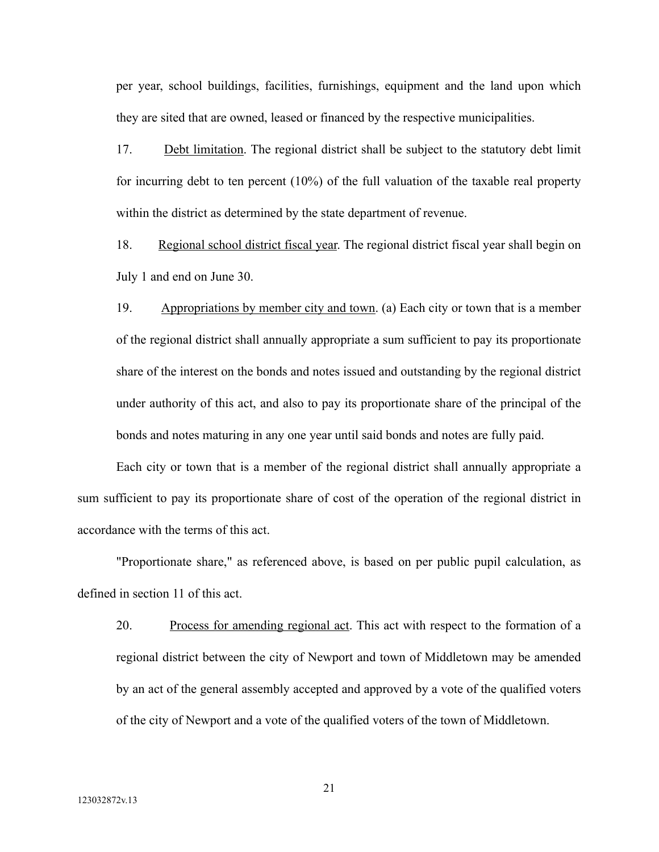per year, school buildings, facilities, furnishings, equipment and the land upon which they are sited that are owned, leased or financed by the respective municipalities.

17. Debt limitation. The regional district shall be subject to the statutory debt limit for incurring debt to ten percent (10%) of the full valuation of the taxable real property within the district as determined by the state department of revenue.

18. Regional school district fiscal year. The regional district fiscal year shall begin on July 1 and end on June 30.

19. Appropriations by member city and town. (a) Each city or town that is a member of the regional district shall annually appropriate a sum sufficient to pay its proportionate share of the interest on the bonds and notes issued and outstanding by the regional district under authority of this act, and also to pay its proportionate share of the principal of the bonds and notes maturing in any one year until said bonds and notes are fully paid.

Each city or town that is a member of the regional district shall annually appropriate a sum sufficient to pay its proportionate share of cost of the operation of the regional district in accordance with the terms of this act.

"Proportionate share," as referenced above, is based on per public pupil calculation, as defined in section 11 of this act.

20. Process for amending regional act. This act with respect to the formation of a regional district between the city of Newport and town of Middletown may be amended by an act of the general assembly accepted and approved by a vote of the qualified voters of the city of Newport and a vote of the qualified voters of the town of Middletown.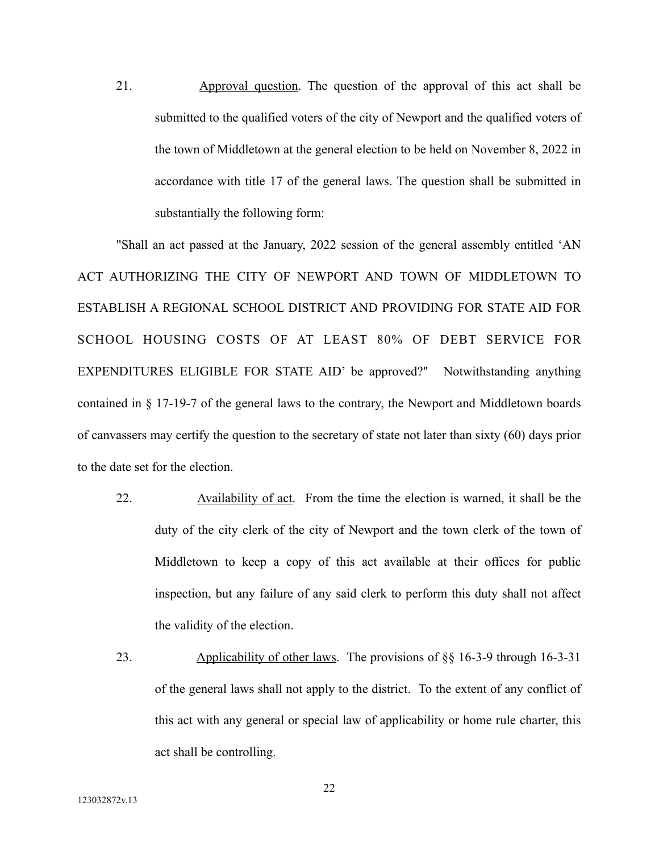21. Approval question. The question of the approval of this act shall be submitted to the qualified voters of the city of Newport and the qualified voters of the town of Middletown at the general election to be held on November 8, 2022 in accordance with title 17 of the general laws. The question shall be submitted in substantially the following form:

"Shall an act passed at the January, 2022 session of the general assembly entitled 'AN ACT AUTHORIZING THE CITY OF NEWPORT AND TOWN OF MIDDLETOWN TO ESTABLISH A REGIONAL SCHOOL DISTRICT AND PROVIDING FOR STATE AID FOR SCHOOL HOUSING COSTS OF AT LEAST 80% OF DEBT SERVICE FOR EXPENDITURES ELIGIBLE FOR STATE AID' be approved?" Notwithstanding anything contained in § 17-19-7 of the general laws to the contrary, the Newport and Middletown boards of canvassers may certify the question to the secretary of state not later than sixty (60) days prior to the date set for the election.

- 22. Availability of act. From the time the election is warned, it shall be the duty of the city clerk of the city of Newport and the town clerk of the town of Middletown to keep a copy of this act available at their offices for public inspection, but any failure of any said clerk to perform this duty shall not affect the validity of the election.
- 23. Applicability of other laws. The provisions of §§ 16-3-9 through 16-3-31 of the general laws shall not apply to the district. To the extent of any conflict of this act with any general or special law of applicability or home rule charter, this act shall be controlling.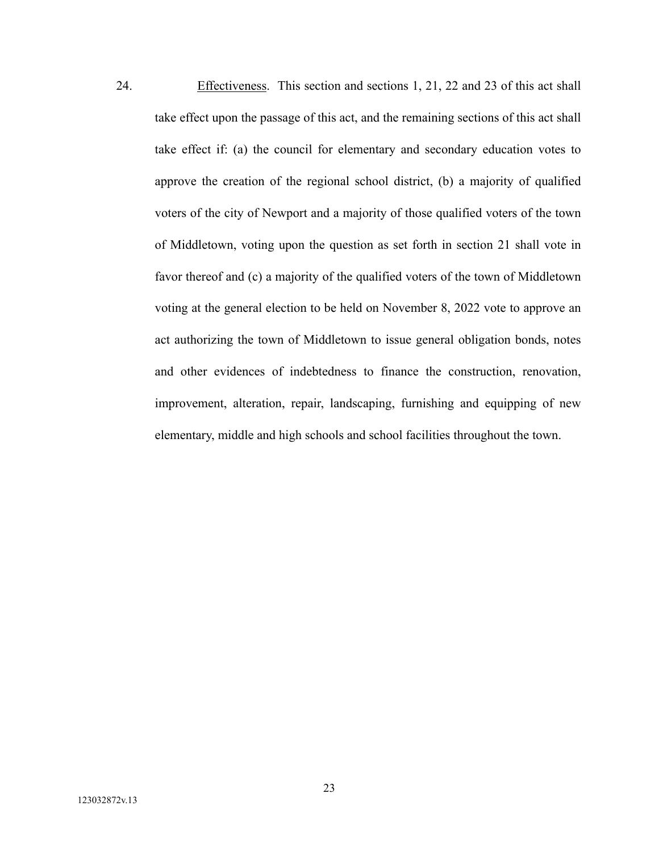24. Effectiveness. This section and sections 1, 21, 22 and 23 of this act shall take effect upon the passage of this act, and the remaining sections of this act shall take effect if: (a) the council for elementary and secondary education votes to approve the creation of the regional school district, (b) a majority of qualified voters of the city of Newport and a majority of those qualified voters of the town of Middletown, voting upon the question as set forth in section 21 shall vote in favor thereof and (c) a majority of the qualified voters of the town of Middletown voting at the general election to be held on November 8, 2022 vote to approve an act authorizing the town of Middletown to issue general obligation bonds, notes and other evidences of indebtedness to finance the construction, renovation, improvement, alteration, repair, landscaping, furnishing and equipping of new elementary, middle and high schools and school facilities throughout the town.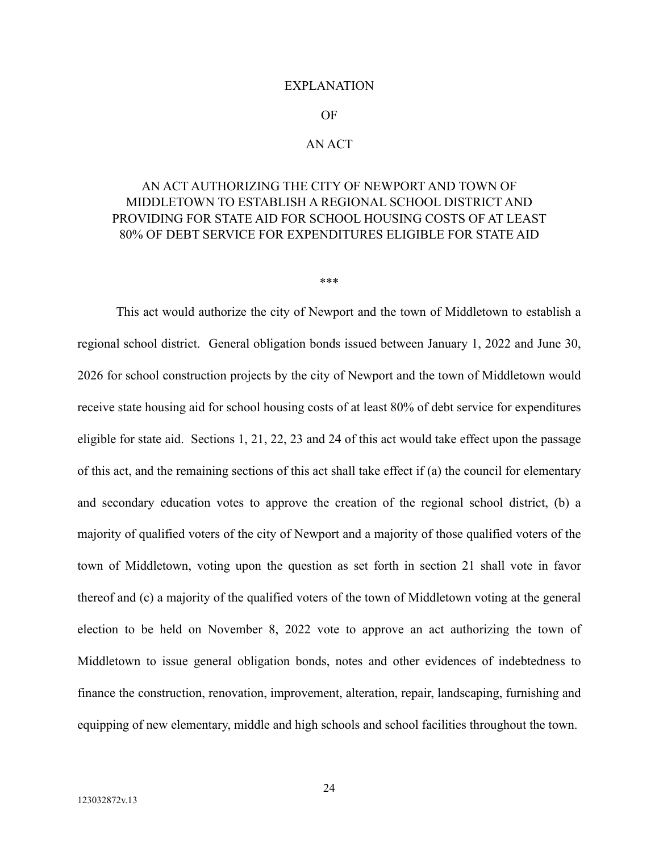#### EXPLANATION

#### OF

## AN ACT

# AN ACT AUTHORIZING THE CITY OF NEWPORT AND TOWN OF MIDDLETOWN TO ESTABLISH A REGIONAL SCHOOL DISTRICT AND PROVIDING FOR STATE AID FOR SCHOOL HOUSING COSTS OF AT LEAST 80% OF DEBT SERVICE FOR EXPENDITURES ELIGIBLE FOR STATE AID

#### \*\*\*

This act would authorize the city of Newport and the town of Middletown to establish a regional school district. General obligation bonds issued between January 1, 2022 and June 30, 2026 for school construction projects by the city of Newport and the town of Middletown would receive state housing aid for school housing costs of at least 80% of debt service for expenditures eligible for state aid. Sections 1, 21, 22, 23 and 24 of this act would take effect upon the passage of this act, and the remaining sections of this act shall take effect if (a) the council for elementary and secondary education votes to approve the creation of the regional school district, (b) a majority of qualified voters of the city of Newport and a majority of those qualified voters of the town of Middletown, voting upon the question as set forth in section 21 shall vote in favor thereof and (c) a majority of the qualified voters of the town of Middletown voting at the general election to be held on November 8, 2022 vote to approve an act authorizing the town of Middletown to issue general obligation bonds, notes and other evidences of indebtedness to finance the construction, renovation, improvement, alteration, repair, landscaping, furnishing and equipping of new elementary, middle and high schools and school facilities throughout the town.